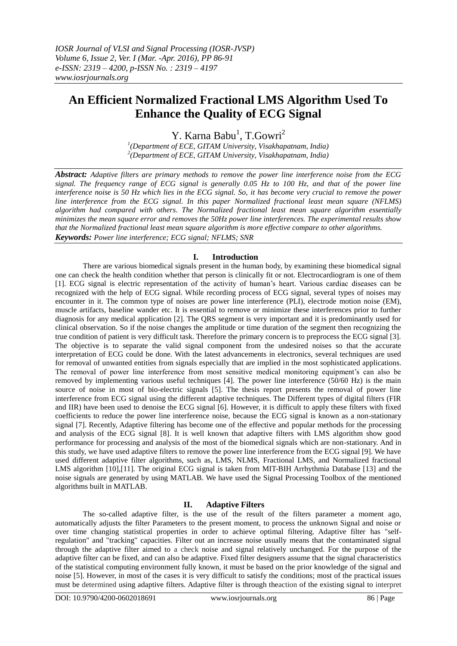# **An Efficient Normalized Fractional LMS Algorithm Used To Enhance the Quality of ECG Signal**

Y. Karna Babu<sup>1</sup>, T.Gowri<sup>2</sup>

*1 (Department of ECE, GITAM University, Visakhapatnam, India) 2 (Department of ECE, GITAM University, Visakhapatnam, India)*

*Abstract: Adaptive filters are primary methods to remove the power line interference noise from the ECG signal. The frequency range of ECG signal is generally 0.05 Hz to 100 Hz, and that of the power line interference noise is 50 Hz which lies in the ECG signal. So, it has become very crucial to remove the power line interference from the ECG signal. In this paper Normalized fractional least mean square (NFLMS) algorithm had compared with others. The Normalized fractional least mean square algorithm essentially minimizes the mean square error and removes the 50Hz power line interferences. The experimental results show that the Normalized fractional least mean square algorithm is more effective compare to other algorithms. Keywords: Power line interference; ECG signal; NFLMS; SNR*

# **I. Introduction**

There are various biomedical signals present in the human body, by examining these biomedical signal one can check the health condition whether that person is clinically fit or not. Electrocardiogram is one of them [1]. ECG signal is electric representation of the activity of human's heart. Various cardiac diseases can be recognized with the help of ECG signal. While recording process of ECG signal, several types of noises may encounter in it. The common type of noises are power line interference (PLI), electrode motion noise (EM), muscle artifacts, baseline wander etc. It is essential to remove or minimize these interferences prior to further diagnosis for any medical application [2]. The QRS segment is very important and it is predominantly used for clinical observation. So if the noise changes the amplitude or time duration of the segment then recognizing the true condition of patient is very difficult task. Therefore the primary concern is to preprocess the ECG signal [3]. The objective is to separate the valid signal component from the undesired noises so that the accurate interpretation of ECG could be done. With the latest advancements in electronics, several techniques are used for removal of unwanted entities from signals especially that are implied in the most sophisticated applications. The removal of power line interference from most sensitive medical monitoring equipment's can also be removed by implementing various useful techniques [4]. The power line interference (50/60 Hz) is the main source of noise in most of bio-electric signals [5]. The thesis report presents the removal of power line interference from ECG signal using the different adaptive techniques. The Different types of digital filters (FIR and IIR) have been used to denoise the ECG signal [6]. However, it is difficult to apply these filters with fixed coefficients to reduce the power line interference noise, because the ECG signal is known as a non-stationary signal [7]. Recently, Adaptive filtering has become one of the effective and popular methods for the processing and analysis of the ECG signal [8]. It is well known that adaptive filters with LMS algorithm show good performance for processing and analysis of the most of the biomedical signals which are non-stationary. And in this study, we have used adaptive filters to remove the power line interference from the ECG signal [9]. We have used different adaptive filter algorithms, such as, LMS, NLMS, Fractional LMS, and Normalized fractional LMS algorithm [10],[11]. The original ECG signal is taken from MIT-BIH Arrhythmia Database [13] and the noise signals are generated by using MATLAB. We have used the Signal Processing Toolbox of the mentioned algorithms built in MATLAB.

# **II. Adaptive Filters**

The so-called adaptive filter, is the use of the result of the filters parameter a moment ago, automatically adjusts the filter Parameters to the present moment, to process the unknown Signal and noise or over time changing statistical properties in order to achieve optimal filtering. Adaptive filter has "selfregulation" and "tracking" capacities. Filter out an increase noise usually means that the contaminated signal through the adaptive filter aimed to a check noise and signal relatively unchanged. For the purpose of the adaptive filter can be fixed, and can also be adaptive. Fixed filter designers assume that the signal characteristics of the statistical computing environment fully known, it must be based on the prior knowledge of the signal and noise [5]. However, in most of the cases it is very difficult to satisfy the conditions; most of the practical issues must be determined using adaptive filters. Adaptive filter is through theaction of the existing signal to interpret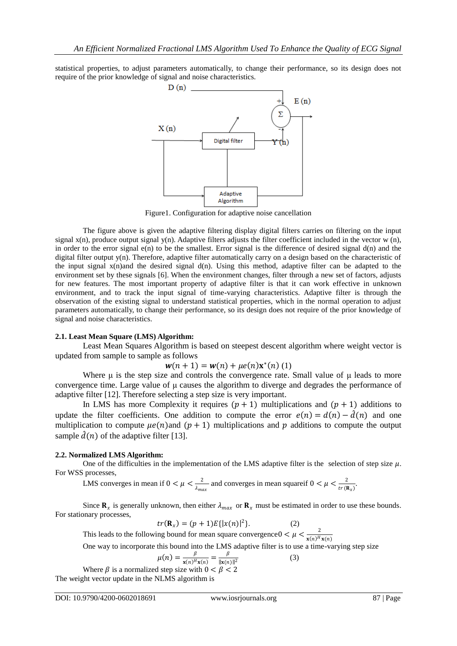statistical properties, to adjust parameters automatically, to change their performance, so its design does not require of the prior knowledge of signal and noise characteristics.



Figure1. Configuration for adaptive noise cancellation

The figure above is given the adaptive filtering display digital filters carries on filtering on the input signal  $x(n)$ , produce output signal  $y(n)$ . Adaptive filters adjusts the filter coefficient included in the vector w (n), in order to the error signal  $e(n)$  to be the smallest. Error signal is the difference of desired signal  $d(n)$  and the digital filter output  $y(n)$ . Therefore, adaptive filter automatically carry on a design based on the characteristic of the input signal x(n)and the desired signal d(n). Using this method, adaptive filter can be adapted to the environment set by these signals [6]. When the environment changes, filter through a new set of factors, adjusts for new features. The most important property of adaptive filter is that it can work effective in unknown environment, and to track the input signal of time-varying characteristics. Adaptive filter is through the observation of the existing signal to understand statistical properties, which in the normal operation to adjust parameters automatically, to change their performance, so its design does not require of the prior knowledge of signal and noise characteristics.

#### **2.1. Least Mean Square (LMS) Algorithm:**

Least Mean Squares Algorithm is based on steepest descent algorithm where weight vector is updated from sample to sample as follows

$$
w(n + 1) = w(n) + \mu e(n) x^{(n)}(1)
$$

Where μ is the step size and controls the convergence rate. Small value of μ leads to more convergence time. Large value of μ causes the algorithm to diverge and degrades the performance of adaptive filter [12]. Therefore selecting a step size is very important.

In LMS has more Complexity it requires  $(p + 1)$  multiplications and  $(p + 1)$  additions to update the filter coefficients. One addition to compute the error  $e(n) = d(n) - \hat{d}(n)$  and one multiplication to compute  $\mu e(n)$  and  $(p + 1)$  multiplications and p additions to compute the output sample  $\hat{d}(n)$  of the adaptive filter [13].

## **2.2. Normalized LMS Algorithm:**

One of the difficulties in the implementation of the LMS adaptive filter is the selection of step size  $\mu$ . For WSS processes,

LMS converges in mean if  $0 < \mu < \frac{2}{1}$  $\frac{2}{\lambda_{max}}$  and converges in mean squareif  $0 < \mu < \frac{2}{tr}$  $\frac{2}{tr(\mathbf{R}_x)}$ .

Since  $\mathbf{R}_x$  is generally unknown, then either  $\lambda_{max}$  or  $\mathbf{R}_x$  must be estimated in order to use these bounds. For stationary processes,

$$
tr(\mathbf{R}_x) = (p+1)E\{|x(n)|^2\}.
$$
 (2)

This leads to the following bound for mean square convergence  $0 < \mu < \frac{2}{\pi \sqrt{M}}$  $\mathbf{x}(n)^H\mathbf{x}(n)$ 

One way to incorporate this bound into the LMS adaptive filter is to use a time-varying step size

$$
\mu(n) = \frac{\beta}{\mathbf{x}(n)^H \mathbf{x}(n)} = \frac{\beta}{\|\mathbf{x}(n)\|^2}
$$
(3)

Where  $\beta$  is a normalized step size with  $0 < \beta < 2$ The weight vector update in the NLMS algorithm is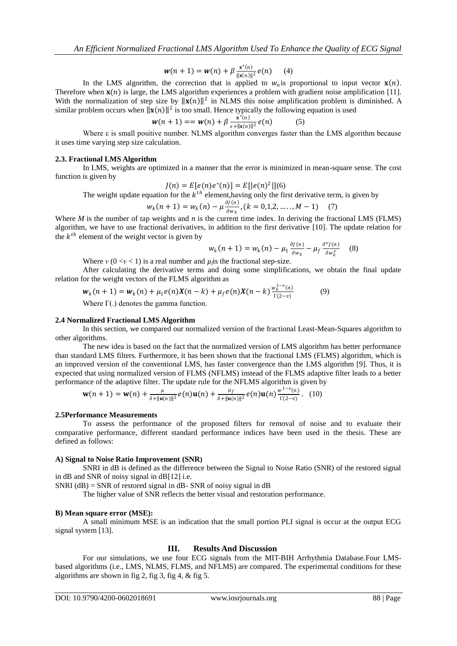$$
w(n + 1) = w(n) + \beta \frac{x^*(n)}{\|x(n)\|^2} e(n) \qquad (4)
$$

In the LMS algorithm, the correction that is applied to  $w_n$  is proportional to input vector  $\mathbf{x}(n)$ . Therefore when  $\mathbf{x}(n)$  is large, the LMS algorithm experiences a problem with gradient noise amplification [11]. With the normalization of step size by  $||\mathbf{x}(n)||^2$  in NLMS this noise amplification problem is diminished. A similar problem occurs when  $||\mathbf{x}(n)||^2$  is too small. Hence typically the following equation is used

$$
w(n + 1) == w(n) + \beta \frac{\dot{x}^*(n)}{\varepsilon + ||x(n)||^2} e(n) \tag{5}
$$

Where  $\varepsilon$  is small positive number. NLMS algorithm converges faster than the LMS algorithm because it uses time varying step size calculation.

#### **2.3. Fractional LMS Algorithm**

In LMS, weights are optimized in a manner that the error is minimized in mean-square sense. The cost function is given by

$$
J(n) = E[e(n)e^{(n)}] = E[|e(n)|^{2}||(6)
$$

The weight update equation for the  $k^{th}$  element, having only the first derivative term, is given by

$$
w_k(n+1) = w_k(n) - \mu \frac{\partial f(n)}{\partial w_k}, (k = 0, 1, 2, \dots, M - 1) \quad (7)
$$

Where *M* is the number of tap weights and *n* is the current time index. In deriving the fractional LMS (FLMS) algorithm, we have to use fractional derivatives, in addition to the first derivative [10]. The update relation for the  $k^{th}$  element of the weight vector is given by

$$
w_k(n+1) = w_k(n) - \mu_1 \frac{\partial J(n)}{\partial w_k} - \mu_f \frac{\partial^{\nu} J(n)}{\partial w_k^{\nu}} \quad (8)
$$

Where  $v$  ( $0 < v < 1$ ) is a real number and  $\mu_j$  is the fractional step-size.

After calculating the derivative terms and doing some simplifications, we obtain the final update relation for the weight vectors of the FLMS algorithm as

$$
\mathbf{w}_k(n+1) = \mathbf{w}_k(n) + \mu_1 e(n) \mathbf{X}(n-k) + \mu_f e(n) \mathbf{X}(n-k) \frac{\mathbf{w}_k^{1-v}(n)}{\Gamma(2-v)}
$$
(9)

Where  $\Gamma(.)$  denotes the gamma function.

#### **2.4 Normalized Fractional LMS Algorithm**

In this section, we compared our normalized version of the fractional Least-Mean-Squares algorithm to other algorithms.

The new idea is based on the fact that the normalized version of LMS algorithm has better performance than standard LMS filters. Furthermore, it has been shown that the fractional LMS (FLMS) algorithm, which is an improved version of the conventional LMS, has faster convergence than the LMS algorithm [9]. Thus, it is expected that using normalized version of FLMS (NFLMS) instead of the FLMS adaptive filter leads to a better performance of the adaptive filter. The update rule for the NFLMS algorithm is given by

$$
\mathbf{w}(n+1) = \mathbf{w}(n) + \frac{\mu}{\delta + ||\mathbf{u}(n)||^2} e(n)\mathbf{u}(n) + \frac{\mu_f}{\delta + ||\mathbf{u}(n)||^2} e(n)\mathbf{u}(n)\frac{w^{1-\nu}(n)}{\Gamma(2-\nu)}.
$$
 (10)

#### **2.5Performance Measurements**

To assess the performance of the proposed filters for removal of noise and to evaluate their comparative performance, different standard performance indices have been used in the thesis. These are defined as follows:

#### **A) Signal to Noise Ratio Improvement (SNR)**

SNRI in dB is defined as the difference between the Signal to Noise Ratio (SNR) of the restored signal in dB and SNR of noisy signal in dB[12] i.e.

SNRI  $(dB)$  = SNR of restored signal in dB- SNR of noisy signal in dB

The higher value of SNR reflects the better visual and restoration performance.

#### **B) Mean square error (MSE):**

A small minimum MSE is an indication that the small portion PLI signal is occur at the output ECG signal system [13].

#### **III. Results And Discussion**

For our simulations, we use four ECG signals from the [MIT-BIH Arrhythmia Database.](https://www.physionet.org/physiobank/database/mitdb/)Four LMSbased algorithms (i.e., LMS, NLMS, FLMS, and NFLMS) are compared. The experimental conditions for these algorithms are shown in fig 2, fig 3, fig 4, & fig 5.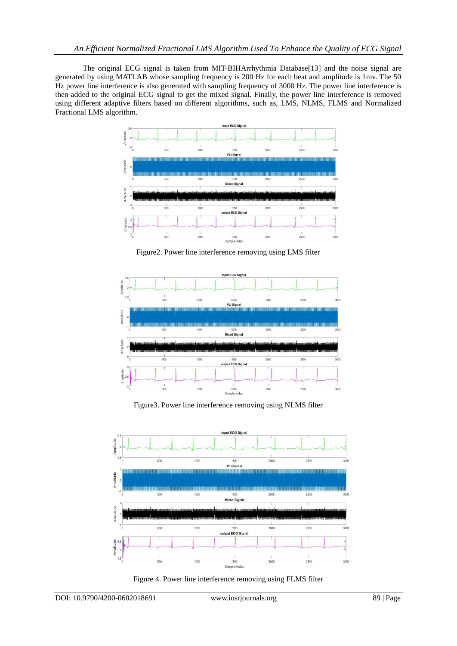The original ECG signal is taken from MIT-BIHArrhythmia Database[13] and the noise signal are generated by using MATLAB whose sampling frequency is 200 Hz for each beat and amplitude is 1mv. The 50 Hz power line interference is also generated with sampling frequency of 3000 Hz. The power line interference is then added to the original ECG signal to get the mixed signal. Finally, the power line interference is removed using different adaptive filters based on different algorithms, such as, LMS, NLMS, FLMS and Normalized Fractional LMS algorithm.



Figure2. Power line interference removing using LMS filter



Figure3. Power line interference removing using NLMS filter



Figure 4. Power line interference removing using FLMS filter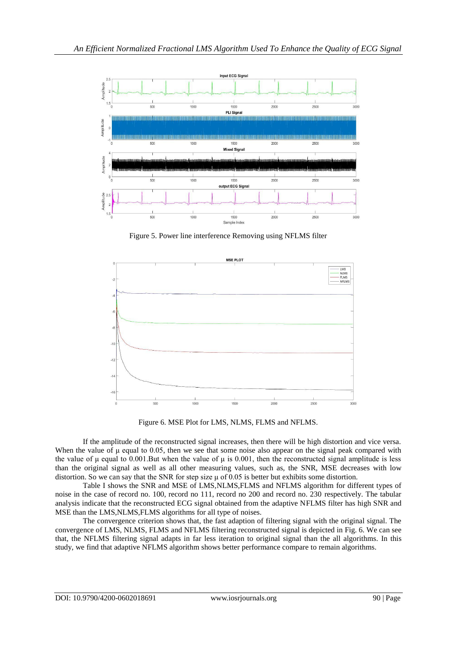

Figure 5. Power line interference Removing using NFLMS filter



Figure 6. MSE Plot for LMS, NLMS, FLMS and NFLMS.

If the amplitude of the reconstructed signal increases, then there will be high distortion and vice versa. When the value of μ equal to 0.05, then we see that some noise also appear on the signal peak compared with the value of  $\mu$  equal to 0.001. But when the value of  $\mu$  is 0.001, then the reconstructed signal amplitude is less than the original signal as well as all other measuring values, such as, the SNR, MSE decreases with low distortion. So we can say that the SNR for step size  $\mu$  of 0.05 is better but exhibits some distortion.

Table I shows the SNR and MSE of LMS,NLMS,FLMS and NFLMS algorithm for different types of noise in the case of record no. 100, record no 111, record no 200 and record no. 230 respectively. The tabular analysis indicate that the reconstructed ECG signal obtained from the adaptive NFLMS filter has high SNR and MSE than the LMS,NLMS,FLMS algorithms for all type of noises.

The convergence criterion shows that, the fast adaption of filtering signal with the original signal. The convergence of LMS, NLMS, FLMS and NFLMS filtering reconstructed signal is depicted in Fig. 6. We can see that, the NFLMS filtering signal adapts in far less iteration to original signal than the all algorithms. In this study, we find that adaptive NFLMS algorithm shows better performance compare to remain algorithms.